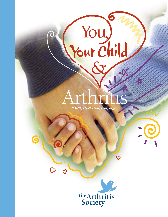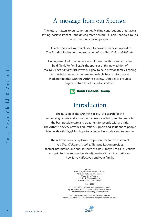## A message from our Sponsor

The future matters to our communities. Making contributions that have a lasting, positive impact is the driving force behind TD Bank Financial Group's many community giving programs.

TD Bank Financial Group is pleased to provide financial support to The Arthritis Society for the production of *You,Your Child and Arthritis*.

Finding useful information about children's health issues can often be difficult for families. As the sponsor of this new edition of *You,Your Child and Arthritis*, it was our goal to help provide families coping with arthritis, access to current and reliable health information. Working together with the Arthritis Society, TD hopes to ensure a brighter future for all Canadian children.



## Introduction

The mission of The Arthritis Society is to search for the underlying causes, and subsequent cures for arthritis, and to promote the best possible care and treatment for people with arthritis. The Arthritis Society provides education, support and solutions to people living with arthritis, giving hope for a better life – today and tomorrow.

The Arthritis Society is pleased to present the fourth edition of *You,Your Child, and Arthritis.* This publication provides factual information, and should serve as a basis for you to ask questions and gain further knowledge aboutjuvenile idiopathic arthritis and how it may affect you and your family.

> 4th Edition Revised by Shirley ML Tse, MD, FRCP(C) Assistant Professor of Pediatrics, University of Toronto Pediatric Rheumatologist The Hospital for Sick Children

> > (June 2005)

*You,Your Child and Arthritis* was originally produced by the late Dr. Abraham Shore and Dr. James E. Boone. The 3rd Edition was revised by Dr. Ronald Laxer.

We also thank Dr. Alex Levin and Dr. Nasrin Tehrani for their contributions to the section on eye problems and eye care.

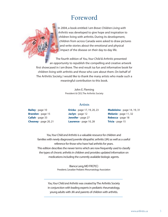## Foreword

In 2004, a book entitled *I am Brave: Children Living with Arthritis* was developed to give hope and inspiration to children living with arthritis. During its development, children from across Canada were asked to draw pictures and write stories about the emotional and physical impact of the disease on their day-to-day life.

The fourth edition of *You,Your Child & Arthritis* presented an opportunity to republish the compelling and creative artwork first showcased in *I am Brave.* The end result isa fun and informative book for children living with arthritis and those who care about them. On behalf of The Arthritis Society, I would like to thank the many artists who made such a meaningful contribution to this book.

> John E. Fleming President & CEO, The Arthritis Society

#### **Artists**

| <b>Melanie</b> - page 11, 32 |
|------------------------------|
|                              |
|                              |
|                              |

*You,Your Child and Arthritis*is a valuable resource for children and families with newly diagnosed juvenile idiopathic arthritis (JIA) as well as a useful reference for those who have had arthritis for years. This edition describes the newer terms which are now frequently used to classify the types of chronic arthritis in children and provides updated information on medications including the currently available biologic agents.

> Bianca Lang,MD FRCP(C) President,Canadian Pediatric Rheumatology Association

*You,Your Child and Arthritis* was created by The Arthritis Society in conjunction with leading experts in pediatric rheumatology, young adults with JIA and parents of children with arthritis.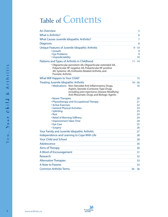# Table of Contents

| <b>An Overview</b>                                                                                                                                                                                              | 5                |
|-----------------------------------------------------------------------------------------------------------------------------------------------------------------------------------------------------------------|------------------|
| <b>What is Arthritis?</b>                                                                                                                                                                                       | 6                |
| What Causes Juvenile Idiopathic Arthritis?                                                                                                                                                                      | 7                |
| <b>Diagnosis</b>                                                                                                                                                                                                | 8                |
| Unique Features of Juvenile Idiopathic Arthritis<br>• Growth<br>• Eye Problems                                                                                                                                  | 9 - 10<br>9<br>9 |
| · Unpredictability                                                                                                                                                                                              | 10               |
| Patterns and Types of Arthritis in Childhood                                                                                                                                                                    | $11 - 14$        |
| · Oligoarticular-persistent JIA, Oligoarticular-extended JIA,<br>Polyarticular-RF negative JIA, Polyarticular-RF positive<br>JIA, Systemic JIA, Enthesitis-Related-Arthritis, and<br><b>Psoriatic Arthritis</b> |                  |
| What Will Happen to Your Child?                                                                                                                                                                                 | 15               |
| <b>Treating Juvenile Idiopathic Arthritis</b>                                                                                                                                                                   | $16 - 26$        |
| · Medications: Non-Steroidal Anti-Inflammatory Drugs,<br>Aspirin, Steroids (Cortisone-Type Drugs<br>including joint injections), Disease-Modifying<br>Anti-Rheumatic Drugs and Biologic Agents                  | 16               |
| • Newer Therapies                                                                                                                                                                                               | 20               |
| • Physiotherapy and Occupational Therapy                                                                                                                                                                        | 21               |
| • Active Exercises<br><b>· General Physical Activities</b>                                                                                                                                                      | 22<br>23         |
| • Splinting                                                                                                                                                                                                     | 23               |
| • Rest                                                                                                                                                                                                          | 24               |
| • Relief of Morning Stiffness                                                                                                                                                                                   | 24               |
| · Improvement Takes Time                                                                                                                                                                                        | 24               |
| • Eye Care<br>• Surgery                                                                                                                                                                                         | 25<br>26         |
| Your Family and Juvenile Idiopathic Arthritis                                                                                                                                                                   | 27               |
| Independence and Learning to Cope With Life                                                                                                                                                                     | 28               |
| <b>Your Child and School</b>                                                                                                                                                                                    | 28               |
| Adolescence                                                                                                                                                                                                     | 30               |
| <b>Aims of Therapy</b>                                                                                                                                                                                          | 30               |
| A Word of Encouragement                                                                                                                                                                                         | 31               |
| Research                                                                                                                                                                                                        | 32               |
| <b>Alternative Therapies</b>                                                                                                                                                                                    | 33               |
| A Note to Parents                                                                                                                                                                                               | 33               |
| <b>Common Arthritis Terms</b>                                                                                                                                                                                   | $34 - 36$        |

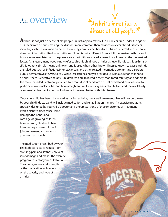# An overview

## Arthritis is not just a disease of old people. "<br>'  $\mathbf{v}$

**A**rthritis is not just a disease of old people. In fact, approximately 1 in 1,000 children under the age of 16 suffers from arthritis, making the disorder more common than most chronic childhood disorders, including cystic fibrosis and diabetes. Previously, chronic childhood arthritis was referred to as juvenile rheumatoid arthritis (JRA) but arthritis in children is quite different from adult rheumatoid arthritis and is not always associated with the presenceof an arthritis associated autoantibody known as the rheumatoid factor. As a result, many people now refer to chronic childhood arthritis as juvenile idiopathic arthritis or JIA. Idiopathic simply means"unknown"and is used when other known illnesses known to cause arthritis are ruled out such as infections, injuries, cancers, and other related rheumatic/autoimmune disorders (lupus, dermatomyositis, vasculitis). While research has not yet provided us with a cure for childhood arthritis, there is effective therapy. Children who are followed closely, monitored carefully and adhere to the recommended treatment provided by a multidisciplinaryteam do best overall and most are able to participate in normalactivities and have a bright future. Expanding research initiatives and the availability of more effective medications will allow us todo even better with this disease.

Once your child has been diagnosed as having arthritis, theoverall treatment plan will be coordinated by your child's doctor, and will include medication and rehabilitation therapy. An exercise program, specially designed by your child's doctor and therapists, is one of thecornerstones of treatment.

Even if arthritis does cause joint damage, the bones and cartilage of growing children have amazing abilities to heal. Exercise helps prevent loss of joint movement and encourages normal growth.

The medication prescribed by your child's doctor acts to reduce joint swelling, pain and stiffness, prevent joint damage and makes the exercise program easier for your child to do. The choice, nature and strength of the medication will depend on the severity and type of arthritis.

**DST VALUABLE !**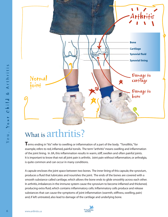

# What is  $\text{arthritis}$ ?

**T**erms ending in "itis" refer to swelling or inflammation of a part of the body. "Tonsillitis," for example, refers to red, inflamed, painful tonsils. The term "arthritis" means swelling and inflammation of the joint lining. In JIA, this inflammation results in warm, stiff, swollen and often painful joints. It is important to know that not all joint pain is arthritis. Joint pain without inflammation, or arthralgia, is quite common and can occur in many conditions.

A capsule encloses the joint space between two bones. The inner lining of this capsule, the synovium, produces a fluid that lubricates and nourishes the joint. The ends of the bones are covered with a smooth substance called cartilage, which allows the bone ends to glide smoothly across each other. In arthritis, imbalances in the immune system cause the synovium to become inflamed and thickened, producing extra fluid, which contains inflammatory cells. Inflammatory cells produce and release substances that can cause the symptoms of joint inflammation (warmth, stiffness, swelling, pain) and, if left untreated, also lead to damage of the cartilage and underlying bone.

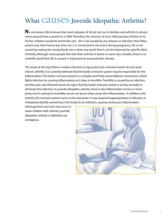## What **CAUSES** Juvenile Idiopathic Arthritis?

No one knows. We do know that most subtypes of JIA do not run in families, and arthritis is almost never passed from a parent to a child. Therefore, the chances of your child passing arthritis on to his/her children would be extremely rare. JIA is not caused by any disease or infection that either parent may have had at any time, nor is it connected to any event during pregnancy. JIA is not caused by eating the wrong foods, nor is there any proof that it can be improved by specific diets. Similarly, although many people feel that their arthritis is better in warm, dry climates, there is no scientific proof that JIA is caused or improved by any particular climate.

The onset of JIA may follow a routine infection or injury, but such common events do not cause chronic arthritis. It is currently believed that the body's immune system may be responsible for the inflammation.The body's immune system is a complex and finely tuned defence mechanism, which fights infection by causing inflammation, as it does in tonsillitis.Tonsillitis is caused by an infection, and the sore, red, inflamed tonsils are signs that the body's immune system is acting normally to eliminate this infection. In juvenile idiopathic arthritis, there is also inflammation of one or more joints, but in contrast to tonsillitis, we do not know what causes this inflammation. In children with arthritis, the immune system seems to be overactive. It may respond inappropriately to infection or mistakenly identify something in the body for an infection, causing continuous inflammation.

Although fever and rash may occur in some children with arthritis, juvenile idiopathic arthritis is definitely not contagious.

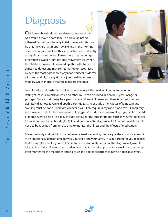# Diagnosis

**C**hildren with arthritis do not always complain of pain. As a result, it may be hard to tell if a child's joints are inflamed. Sometimes the only initial clue to arthritis may be that the child is stiff upon awakening in the morning or after a nap, and walks with a limp, or has some difficulty using his or her arm or leg. Rarely, there may be no signs other than a swollen joint or some movement loss when the child is examined. Juvenile idiopathic arthritis can be difficult to detect and may sometimes go unrecognized by even the most experienced physician.Your child's doctor will look carefully for any signs of joint swelling or loss of mobility, which indicate that the joints are inflamed.



Juvenile idiopathic arthritis is defined as continuous inflammation of one or more joints lasting at least six weeks for which no other cause can be found in a child 16 years of age or younger. Since arthritis may be a part of many different illnesses and there is no test that can definitely diagnose juvenile idiopathic arthritis, tests to exclude other causes of joint pain and swelling must be done. Therefore your child will likely require X-rays and blood tests. Laboratory tests may also help in classifying your child's type of arthritis and determining if your child is at risk of more severe disease. This may include testing for the autoantibodies such as rheumatoid factor (RF) and anti-nuclear antibody (ANA). In addition, once the diagnosis of JIA is confirmed, tests will need to be repeated from time to time to monitor the illness and the effects of medication.

The uncertainty and doubt of the first several weeks following discovery of the arthritis can result in an emotionally difficult time for you, your child and your family. It is important for you to realize that it may take time for your child's doctor to be absolutely certain of the diagnosis of juvenile idiopathic arthritis. You must also understand that it may take up to several weeks or sometimes even months for the medicines and exercises the doctor prescribes to have a noticeable effect.

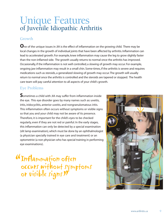## Unique Features of Juvenile Idiopathic Arthritis

## Growth

**O**ne of the unique issues in JIA is the effect of inflammation on the growing child. There may be local changes in the growth of individual joints that have been affected by arthritis. Inflammation can lead to accelerated growth. For example, knee inflammation may cause the leg to grow slightly faster than the non-inflamed side. The growth usually returns to normal once the arthritis has improved. Occasionally, if the inflammation is not well controlled, a slowing of growth may occur. For example, ongoing jaw inflammation may result in a small chin. Some-times, if the arthritis is severe and requires medications such as steroids, a generalized slowing of growth may occur.The growth will usually return to normal once the arthritis is controlled and the steroids are tapered or stopped. The health care team will pay careful attention to all aspects of your child's growth.

## Eye Problems

**S**ometimes a child with JIA may suffer from inflammation inside the eye. This eye disorder goes by many names such as: uveitis, iritis, iridocyclitis, anterior uveitis, and nongranulomatous iritis. This inflammation often occurs without symptoms or visible signs so that you and your child may not be aware of its presence. Therefore, it is important for the child's eyes to be checked regularly, even if they are not red or painful. In the early stages, this inflammation can only be detected by a special examination (slit lamp examination), which must be done by an ophthalmologist (a physician specially trained in eye care and treatment) or an optometrist (a non physician who has special training in performing eye examinations).

**"Inflammation often**<br>occurs without symp occurs without symptoms<br>or visible signs??<br>"

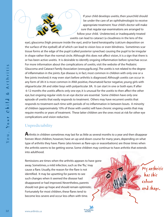

If your child develops uveitis, then yourchild should be under the care of an ophthalmologist to receive appropriate treatment.Your child's doctor will make sure that regular eye examinations are arranged to follow your child. Undetected, or inadequately treated uveitis can lead to cataract (a cloudiness in the lens of the

My arthritis

has this

and shape.

colour

eye), glaucoma (high pressure inside the eye), and/or band keratopathy (calcium deposition on the surface of the eyeball) all of which can lead to vision loss or even blindness. Sometimes scar tissue forms at the edge of the pupil (called posterior synechae) causing the pupil to be irregular in shape rather than the normal circle. Although this does not affect vision, it is a sign that there is or has been active uveitis. It is desirable to identify ongoing inflammation before synechae occur. For more information about the complications of uveitis, visit the website of the Pediatric Glaucoma and Cataract Family Association (www.pgcfa.org).The uveitis is not related to the degree of inflammation in the joints. Eye disease is, in fact, most common in children with only one or a few joints involved; it may even start before arthritis is diagnosed. Although uveitis can occur in any form of JIA it is most common in ANA positive, rheumatoid factor negative, young girls with oligoarticular JIA and older boys with polyarticular JIA. It can start in one or both eyes. If after 6-12 months the uveitis affects only one eye, it is unusual for the uveitis to then affect the other eye, but ongoing regular visits to an eye doctor are essential. Some children have only one episode of uveitis that easily responds to treatment. Others may have recurrent uveitis that responds to treatment each time with periods of no inflammation in between bouts. A minority of children (approximately 10% of those with uveitis) will have chronic ongoing uveitis that may require months or years of treatment. These latter children are the ones most at risk for other eye complications and vision reduction.

## Unpredictability

**A**rthritis in children sometimes may last for as little as several months to a year and then disappear forever. Most children, however, have an up-and-down course for many years, depending on what type of arthritis they have. Flares (also known as flare-ups or exacerbations) are those times when the arthritis seems to be getting worse. Some children may continue to have arthritis that extends into adulthood.

Remissions are times when the arthritis appears to have gone away. Sometimes, a mild infection, such as the 'flu,' may cause a flare. Usually, the reason for the flare is not identified. It may be upsetting for parents to see such changes when it seemed the disease had disappeared or had improved. Nevertheless, parents should not give up hope and should remain optimistic. Fortunately for most children, these flares tend to become less severe and occur less often with time.

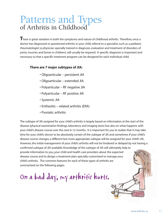## Patterns and Types of Arthritis in Childhood

**T**here is great variation in both the symptoms and nature of childhood arthritis. Therefore, once a doctor has diagnosed or questioned arthritis in your child, referral to a specialist, such as a pediatric rheumatologist (a physician specially trained in diagnosis, evaluation and treatment of disorders of joints, muscles and bones in children), will usually be required. A specific diagnosis is important and necessary so that a specific treatment program can be designed for each individual child.

### **There are 7 major subtypes of JIA:**

- Oligoarticular persistent JIA
- Oligoarticular extended JIA
- Polyarticular RF negative JIA
- Polyarticular RF positive JIA
- Systemic JIA
- Enthesitis related arthritis (ERA)
- Psoriatic arthritis

The subtype of JIA assigned for your child's arthritis is largely based on information at the start of the disease (physical examination findings, laboratory and imaging tests) but also on what happens with your child's disease course over the next 6-12 months. It is important for you to realize that it may take time for your child's doctor to be absolutely certain of the subtype of JIA and sometimes if your child's disease course changes, a different but more appropriate subtype will be assigned for your child's JIA. However, the initial management of your child's arthritis will not be hindered or delayed by not having a confirmed subtype of JIA available. Knowledge of the subtype of JIA will ultimately help to provide information to you, your child and health care providers about the expected disease course and to design a treatment plan specially customized to manage your child's arthritis. The common features for each of these types of arthritis are summarized on the following pages.

On a bad day, my arthritis hurts.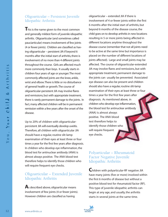## Oligoarticular – Persistent Juvenile Idiopathic Arthritis

**T**his is the name given to the most common and generally mildest form of juvenile idiopathic arthritis. Oligoarticular (and sometimes called pauciarticular) means involvement of few joints (4 or fewer joints). Children are classified as having oligoarticular – persistent JIA if beyond 6 months after the initial start of arthritis, there is involvement of no more than 4 different joints throughout the course. Girls are affected much more commonly than boys. It usually starts in children four years of age or younger.The most commonly affected joints are the knee, ankle, wrist and elbow.There is little or no disturbance of general health or growth.The course of oligoarticular-persistent JIA may involve flares and remissions, but with appropriate treatment, there is rarely permanent damage to the joints. In fact, many affected children will be in permanent remission within a few years after the onset of the disease.

Up to 20% of children with oligoarticularpersistent JIA will eventually develop uveitis. Therefore, all children with oligoarticular JIA should have a regular, routine slit-lamp examination of their eyes at least three or four times a year for the first few years after diagnosis. In children who develop eye inflammation, the blood test for antinuclear antibody (ANA) is almost always positive. The ANA blood test therefore helps to identify those children who will require frequent eye checks.

## Oligoarticular – Extended Juvenile Idiopathic Arthritis

**A**s described above, oligoarticular means involvement of few joints (4 or fewer joints). However children are classified as having

oligoarticular – extended JIA if there is involvement of 4 or fewer joints within the first 6 months after the initial start of arthritis, but beyond 6 months of the disease course, the child goes on to develop arthritis in new locations resulting in 5 or more joints being affected in different locations anytime throughout the disease course (remember that not all joints need to be active at the same time but importance is placed on the number of different locations of joints affected). Large and small joints may be affected. The course of oligoarticular-extended JIA may involve flares and remissions, but with appropriate treatment, permanent damage to the joints can usually be prevented. Associated eye disease can also be present and children should also have a regular, routine slit-lamp examination of their eyes at least three or four times a year for the first few years after diagnosis. As mentioned above, in children who develop eye inflammation, the blood test for antinuclear antibody (ANA) is almost always positive. The ANA blood test therefore helps to identify those children who will require frequent eye checks.

## Polyarticular – Rheumatoid Factor Negative Juvenile Idiopathic Arthritis

**C**hildren with polyarticular-RF negative JIA have many joints (five or more) involved within the first 6 months of disease but without a positive blood test for rheumatoid factor (RF). This type of juvenile idiopathic arthritis can begin at any age, and usually, the arthritis starts in several joints at the same time.

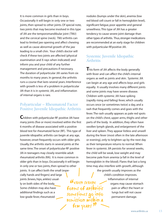It is more common in girls than in boys. Occasionally it will begin in only one or two joints, then spread to other joints. Of special note, two joints that may become involved in this type of JIA are the temporomandibular joint (TMJ) and the cervical spine (neck). TMJ arthritis can lead to limited jaw opening and affect chewing as well as cause abnormal growth of the jaw leading to a small chin. Your child's doctor will check if these two joints are affected (physical examination and X-rays when indicated) and inform you and your child of any further management and precautions if necessary. The duration of polyarticular JIA varies from six months to many years. In general, the arthritis runs a course that lasts several years. Interference with growth is less of a problem in polyarticular JIA than it is in systemic JIA, and inflammation of internal organs is rare.

## Polyarticular – Rheumatoid Factor Positive Juvenile Idiopathic Arthritis

**C**hildren with polyarticular-RF positive JIA have many joints (five or more) involved within the first 6 months of disease associated with a positive blood test for rheumatoid factor (RF). This type of juvenile idiopathic arthritis can begin at any age, however, onset frequently occurs with older girls. Usually, the arthritis starts in several joints at the same time.The onset of polyarticular-RF positive JIA in teenagers may closely resemble adult rheumatoid arthritis (RA). It is more common in older girls than in boys. Occasionally it will begin in only one or two joints, then spread to other joints. It can affect both the small (especially hands and fingers) and large joints (knees, hips, ankles) usually on both sides of the body. Some children may also have additional findings such as a low-grade fever, rheumatoid

Geven severe Geven severe<br>Forms of arthritis sometimes go into remission within a few years

nodules (bumps under the skin), anemia (low red blood cell count or fall in hemoglobin level), significant fatigue, poor appetite and general unwellness. This type of JIA has a greater tendency to cause severe joint damage than other types of arthritis. Thus, stronger medications are recommended at an early stage for children with polyarticular-RFpositive JIA.

## Systemic Juvenile Idiopathic **Arthritis**

**T**his form of JIA affects the body generally with fever and can affect the child's internal organs as well as joints and skin. Systemic JIA can begin at any age and affects boys and girls equally. It usually involves many different joints and some joints may have severe disease. Children with systemic JIA have spiking (rapidly rising and falling) fever, which usually occurs once (or sometimes twice) a day, and a rash that frequently comes and goes with the fever.The rash usually appears as pale red spots on the child's chest, upper arms, thighs and other parts of the body. In addition, they often have swollen lymph glands, and enlargement of the liver and spleen. They appear listless and unwell during the fever (most often in the late afternoon or evening), only to brighten up by the next day as their temperature returns to normal. When fever in systemic JIA persists for several weeks, the child will be weak, lose weight and may become pale from anemia (a fall in the level of hemoglobin in the blood). Flares that last a long time may also interfere with growth, although

> the growth usually improves as the child's condition improves. Inflammation of internal organs may cause stomach pain or affect the heart or lungs but will not cause permanent damage.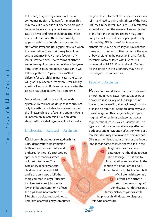In the early stages of systemic JIA, there is sometimes no sign of joint inflammation.This may make it a very difficult disease to diagnose because there are many other illnesses that also cause a fever and rash in children. Therefore, many tests are done.The arthritis usually appears within the first six months after the start of the fever, and usually persists, even when the fever settles.The arthritis may be mild or severe, and may involve just a few, or many joints. However, even severe forms of arthritis sometimes go into remission within a few years. If the arthritis does not go into remission, it will follow a pattern of "ups and downs" that is different for each child. In most cases, the pattern will gradually become less severe. Occasionally, as with all forms of JIA, flares may occur after the disease has been inactive for a long time.

Medications used to treat children with systemic JIA will include drugs that control not only the arthritis but also the systemic part of the illness, such as the fever and anemia. Uveitis is uncommon in systemic JIA but children should still have their eyes examined annually.

## Enthesitis – Related – Arthritis

**C**hildren with enthesitis-related-arthritis (ERA) demonstrate inflammation both in their joints (arthritis) and entheses (enthesitis). Entheses are spots where tendons attach or insert into bones. This type of JIA generally affects children over the age of 10, and is the only type of JIA that is more common in boys. It usually involves just a few joints in the lower limbs and commonly affects the hips. Joint inflammation in ERA often persists into adulthood. This form of arthritis may sometimes

progress to involvement of the spine or sacroiliac joints and lead to pain and stiffness of the back. Entheses in the lower limbs are usually affected, especially around the knees, ankles and bottom of the feet, and therefore children may often complain of knee, heel or foot pain particularly with activity. ERA is one of the few types of arthritis that may be hereditary or run in families. It may also occur with inflammation of the eyes, or bowel, either in the patient or in other family members. Many children with ERA carry a protein called HLA B-27 on their cells.Testing for this protein in the laboratory may help in the diagnosis in some cases.

## Psoriatic Arthritis

 $\bullet$ 

The Arthritis

**P**soriasis is a skin disease that is accompanied by arthritis in many cases. Psoriasis appears as a scaly red rash usually on the scalp, behind the ears, on the eyelids, elbows, knees, buttocks or in the belly button. Some children may also have changes on their fingernails (pitting or ridging). When arthritis and psoriasis occur together, the disease is called psoriatic JIA.This type of arthritis can occur at any age affecting both boys and girls. It often affects only one or a few joints but may also involve the hips or back (like in enthesitis-related-arthritis), or the fingers and toes. In some children, the swelling in the

fingers or toes may be so Q extensive that the digit appears like a sausage. This is due to inflammation and swelling in the tendon of a finger or toe and is referred to as dactylitis. In about half of children with psoriatic b. **arthritis, the arthritis** starts before any sign of skin disease. For this reason, a family history of psoriasis will help your child's doctor to diagnose this type of arthritis.

You,

Your Child & Arthritis

 $c h 1 d$ 

 $\frac{1}{2}$ 

 $\mathbf{o}$  $\leftarrow$ 

 $\infty$ 

Arthritis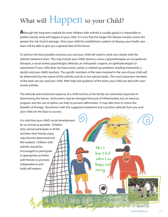# What will **Happen** to your Child?

**A**lthough the long-term outlook for most children with arthritis is usually good, it is impossible to predict exactly what will happen to your child. It is true that the longer the disease remains active, the greater the risk of joint damage. Once your child has established a pattern of disease, your health care team will be able to give you a general idea of the future.

To achieve the best possible outcome, you and your child will need to work very closely with the arthritis treatment team. This may include your child's doctor, a nurse, a physiotherapist, an occupational therapist, a social worker, psychologist, dietician, an orthopedic surgeon, an ophthalmologist (or optometrist if your child does not have active uveitis or related eye problems needing treatment), a dentist and your child's teachers. The specific members of the team involved in the care of your child will be determined by the nature of the arthritis and his or her special needs. The most important members of the team are you and your child. With help and guidance of the team, your child can deal with even severe arthritis.

The attitude and emotional response of a child and his or her family are extremely important in determining the future. Some joints may be damaged because of inflammation, but an exercise program and the use of splints can help to prevent deformities. It may take time to notice the benefits of therapy. Persistence with the suggested treatment and a positive attitude from you and your child are the keys to success.

It is vital that your child's social development be as normal as possible. Children who cannot participate in all the activities their friends enjoy may become depressed and feel isolated. Children with arthritis should be encouraged to participate in appropriate activities with friends to promote independence and build self-esteem. This is how I feel when I am happy and strong.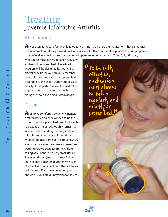# Treating Juvenile Idiopathic Arthritis

## **Medications**

A<sub>s</sub> yet, there is no cure for juvenile idiopathic arthritis. Still, there are medications that can reduce the inflammation, relieve pain and swelling associated with arthritis and help make exercise programs more effective as well as prevent or minimize permanent joint damage. To be fully effective,

medication must always be taken regularly and exactly as prescribed. A medication program will be designed by your child's doctor specific for your child. Remember that children's medications are prescribed according to the child's weight and disease activity. It is important to take the medication as prescribed and not to change the dosage without the doctor's knowledge.

## Aspirin

**A**spirin<sup>®</sup> (also referred by generic names; acetylsalicylic acid or ASA) used to be the most commonly prescribed drug for juvenile idiopathic arthritis. Although it remains a safe and effective drug for many children with JIA, and continues to be used by rheumatologists, some of the other NSAIDs are more convenient to take and are often better tolerated than aspirin. In children taking aspirin there is a very small risk of Reye's syndrome (sudden onset of altered state of consciousness together with liver disease) following infection with chickenpox or influenza. If you are concerned you should ask your child's physician for advice.



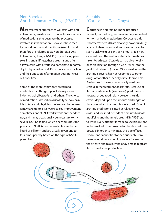## Non-Steroidal Anti-Inflammatory Drugs (NSAIDs)

**M**ost treatment approaches will start with antiinflammatory medications. This includes a variety of medications that decrease the processes involved in inflammation. However, these medications do not contain cortisone (steroids) and therefore are referred to as Non-Steroidal Anti-Inflammatory Drugs (NSAIDs). By reducing pain, swelling and stiffness, these drugs alone often allow a child with arthritis to participate in normal day to day activities. NSAIDs do not cause addiction, and their effect on inflammation does not wear out over time.

Some of the more commonly prescribed medications in this group include naproxen, indomethacin, ibuprofen and others. The choice of medication is based on disease type, how easy it is to take and physician preference. Sometimes it may take up to 8-12 weeks to see improvement. Sometimes one NSAID works while another does not, and it may occasionally be necessary to try several NSAIDs to find which one works best for your child. NSAIDs can be available as either a liquid or pill form and are usually given one to four times per day based on the type of NSAID prescribed.

## **Steroids** (Cortisone – Type Drugs)

**C**ortisone is a steroid hormone produced naturally by the body, and is extremely important for normal body metabolism. Corticosteroids (short term: steroids) are also very powerful drugs against inflammation and improvement can be seen quickly (e.g. as early as 48 hours). It is very different from the anabolic steroids sometimes taken by athletes. Steroids can be given orally, or as an injection through a vein (IV) or into the joint itself. Steroids (oral or IV) are used when the arthritis is severe, has not responded to other drugs or for other especially difficult problems. Prednisone is the most commonly used oral steroid in the treatment of arthritis. Because of its many side effects (see below), prednisone is not prescribed routinely. However, the side effects depend upon the amount and length of time over which the prednisone is used. Often in arthritis, prednisone is used at relatively low doses and for short periods of time until diseasemodifying anti-rheumatic drugs (DMARDS) start to work. Every attempt is made to use prednisone in the smallest dose possible for the shortest time possible in order to minimize the side effects. Prednisone cannot be stopped suddenly. It must be reduced slowly to avoid a severe flare-up of the arthritis and to allow the body time to regulate its own cortisone production.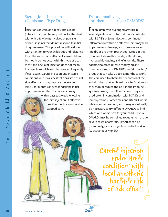## Steroid Joint Injections (Cortisone – Type Drugs)

**I**njections of steroids directly into a joint (intraarticular) can be very helpful for the child with only a few joints involved or persistent arthritis in joints that do not respond to initial drug treatment. This procedure will be done with attention to your child's age and tolerance for it.The known side effects of steroids taken by mouth do not occur with this type of treatment, and one joint injection does not mean that injections will haveto be repeated frequently, if ever again. Careful injection under sterile conditions with local anesthetic has little risk of side effects and may improve the injected joint(s) for months or even longer; the initial improvement is often dramatic occurring

> within days to a week following the joint injection. If effective, the other medications may be stopped early.

## Disease-modifying anti-rheumatic drugs (DMARDS)

**F**or children with prolonged arthritis in several joints or arthritis that is not controlled with NSAIDs or joint injections, continued inflammation within an affected joint may lead to permanent damage, and therefore second line drugs are often prescribed. Drugs in this group include methotrexate, sulfasalazine, hydroxychloroquine, and leflunomide. These agents, also called disease-modifying antirheumatic drugs, or DMARDS, are "slow acting" drugs that can take up to six months to work. They are used to obtain better control of the arthritis than that achieved by NSAIDs alone as they stop or reduce the cells in the immune system causing the inflammation. They are used often in combination with NSAIDs and joint injections. Sometimes one DMARD works while another does not, and it may occasionally be necessary to try different DMARDs to find which one works best for your child. Several DMARDs may be combined together to manage severe cases of arthritis. DMARDs can be given orally, or as an injection under the skin (subcutaneously or SC).

> Careful injection under sterile conditions with local anesthetic has little risk of side effects

The Arthritis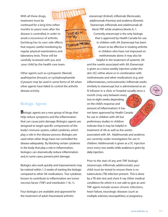With all these drugs, treatment must be continued for a long time (often months to years) even after the disease is controlled, in order to avoid a recurrence of arthritis. Eachdrug has its own side effects that require careful monitoring by regular physical examinations and laboratory tests. These will be carefully reviewed with you and your child by the health-care team.

Other agents such as cyclosporin (Neoral), azathioprine (Imuran), or cyclophosphamide (Cytoxan) may be used in some forms of JIA when other agents have failed to control the arthritis disease activity.

## Biologic Agents

**B**iologic agents are a new group of drugs that help reduce symptoms and the inflammation that can cause joint damage. Biologics agents are designed to target specific components of the body's immune system, called cytokines, which play a role in the disease process. Biologics are used when other drugs have not controlled the disease adequately. By blocking certain cytokines in the body that play a role in inflammation, biologics can dramatically reduce inflammation and, in some cases, prevent joint damage.

Biologics also work quickly and improvements may be noticed within 1-2 weeks of starting the biologic compared to other JIA medications. Two cytokines known to contribute to inflammation are tumor necrosis factor (TNF) and interleukin-1 (IL-1).

Four biologics are available and approved for the treatment of adult rheumatoid arthritis:

etanercept (Enbrel), infliximab (Remicade), adalimumab (Humira) and anakinra (Kineret). Etanercept, infliximab and adalimumab all block TNF while anakinra blocks IL-1. Currently, etanercept is the only biologic that is approved by Health Canada for use in children with JIA. Etanercept has been shown to be effective in treating arthritis in children who have not improved on methotrexate alone. It may also be helpful in the treatment of systemic JIA

and the uveitis associated with JIA. Etanercept is given as a twice weekly injection under the skin (SC) either alone or in combination with methotrexate and other medications (e.g. antiinflammatories, corticosteroids). Infliximab works similarly to etanercept but is administered as an IV infusion in a clinic or hospital usually once a

month (may vary between every two to eight weeks depending on the child's response and amount of inflammation). It has not been approved by Health Canada for use in children with JIA but preliminary studies in children indicate that it may be helpful in treatment of JIA as well as the uveitis associated with JIA. Adalimumab and anakinra are currently under investigation for use in children. Adalimumab is given as a SC injection once every two weeks while anakinra is given by daily injection.

Prior to the start of any anti-TNF biologic (etanercept, infliximab, adalimumab), your child must be tested to ensure there is no tuberculosis (TB) infection present. This is done by a TB skin test and chest X-ray. Other medical conditions for which it is not safe to give an anti-TNF agent include severe chronic infections, heart failure, neurologic diseases (such as multiple sclerosis, neuropathies), or pregnancy.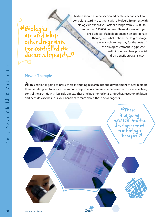## Biologics are used when other drugs have not controlled the disease adequately. "<br>"<br>"  $\mathbf{v}$

Children should also be vaccinated or already had chicken pox before starting treatment with a biologic.Treatment with biologics is expensive. Costs can range from \$15,000 to more than \$25,000 per year. Please discuss with your child's doctor if a biologic agent is an appropriate therapy, and what options for drug coverage are available to help pay for the costs of the biologic treatment (e.g. private health insurance plans, provincial drug benefit programs etc).

## Newer Therapies

As this edition is going to press, there is ongoing research into the development of new biologic therapies designed to modify the immune response in a precise manner in order to more effectively control the arthritis with less side effects. These include monoclonal antibodies, receptor inhibitors and peptide vaccines. Ask your health care team about these newer agents.

The Arthritis

*<u>KThere</u>* is ongoing research into the development of new biologic therapieš."<br>——————————————————— ".<br>"ה כ

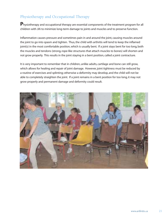## Physiotherapy and Occupational Therapy

**P**hysiotherapy and occupational therapy are essential components of the treatment program for all children with JIA to minimize long-term damage to joints and muscles and to preserve function.

Inflammation causes pressure and sometimes pain in and around the joint, causing muscles around the joint to go into spasm and tighten. Thus, the child with arthritis will tend to keep the inflamed joint(s) in the most comfortable position, which is usually bent. If a joint stays bent for too long, both the muscles and tendons (strong, rope-like structures that attach muscles to bones) will shorten and not grow properly. This results in the joint staying in a bent position, called a joint contracture.

It is very important to remember that in children, unlike adults, cartilage and bone can still grow, which allows for healing and repair of joint damage. However, joint tightness must be reduced by a routine of exercises and splinting; otherwise a deformity may develop, and the child will not be able to completely straighten the joint. If a joint remains in a bent position for too long, it may not grow properly and permanent damage and deformity could result.

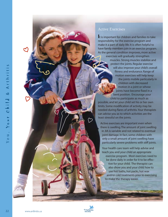$\mathsf{r}$ 

### Active Exercises

**I**t is important for children and families to take responsibility for the exercise program and make it a part of daily life. It is often helpful to have family members join in an exercise program. As the general condition improves, more active exercises will gradually strengthen muscles. Strong muscles stabilize and protect the joints. Regular exercise will also improve your child's overall fitness and endurance. Range of motion exercises will help keep the joints mobile particularly in children with decreased motion in a joint or whose joints have become fixed in a bent position. Encourage your child to participate as much as

possible, and let your child set his or her own limits. Some modification of activity may be needed during flares of arthritis.Your therapists can advise you as to which activities are the least stressful on the joints.

Active exercises are important even when there is swelling.The amount of joint swelling in JIA is variable and not related to eventual joint damage. In fact, some children with only a small amount of joint swelling have particularly severe problems with stiff joints.

Your health care team will help advise and teach you and your child an appropriate exercise program. Most exercises need to be done daily in order for it to be effective for your child. The therapist can also show you and your child how to use hot baths, hot packs, hot wax and/or cold treatments prior to exercising to make the therapy easier.

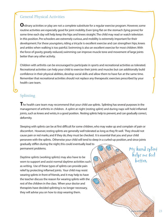## General Physical Activities

**O**rdinary activities or play are not a complete substitute for a regular exercise program. However, some routine activities are especially good for joint mobility. Even lying flat on the stomach (lying prone) for some time each day will help keep the hips and knees straight.The child may read or watch television in this position. Pre-schoolers are extremely curious, and mobility is extremely important for their development. For these youngsters, riding a tricycle is excellent exercise and can strengthen hips, knees and ankles when walking is too painful. Swimming is also an excellent exercise for most children.With the force of gravity greatly reduced, swimming can improve muscle tone and movement of large joints better than any other activity.

Children with arthritis can be encouraged to participate in sports and recreational activities as tolerated. Recreational activities can help your child to exercise their joints and muscles but can additionally build confidence in their physical abilities, develop social skills and allow them to have fun at the same time. Remember that recreational activities should not replace any therapeutic exercises prescribed by your health care team.

## Splinting

The health care team may recommend that your child use splints. Splinting has several purposes in the management of arthritis in children. A splint at night (resting splint) and during naps will hold inflamed joints, such as knees and wrists, in a good position. Resting splints help to prevent, and can gradually correct, deformity.

Sleeping with splints can be at first difficult for some children, who may wake up and complain of pain or discomfort. However, resting splints are generally well tolerated as long as they fit well. They should not cause pain or red marks, and if they do, they must be checked. It is essential that you and your child persevere with the splints. Otherwise your child will tend to sleep in a curled-up position, and since joints gradually stiffen during the night, this could eventually lead to

permanent problems.

Daytime splints (working splints) may also have to be worn to support and assist normal daytime activities such as writing. Use of these types of splints can provide pain relief by protecting inflamed joints. Your child may resist wearing splints in front of friends, and it may help to have the teacher discuss the reason for wearing splints with the rest of the children in the class. When your doctor and therapists have decided splinting is no longer necessary, they will advise you on how to stop wearing them.

My hand splint

helps me feel better.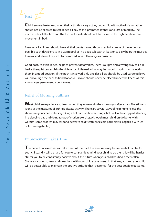# $2$ <sub>Rest</sub>  $2^2$

**C**hildren need extra rest when their arthritis is very active, but a child with active inflammation should not be allowed to rest in bed all day as this promotes stiffness and loss of mobility.The mattress should be firm and the top bed sheets should not be tucked in too tight to allow free movement in bed.

Even very ill children should have all their joints moved through as full a range of movement as possible each day. Exercise in a warm pool or in a deep tub bath at least once daily helps the muscles to relax, and allows the joints to be moved in as full a range as possible.

Good posture, even in bed, helps to prevent deformities.There is a right and a wrong way to lie in bed; a therapist can explain the difference. Inflamed joints may be placed in splints to maintain them in a good position. If the neck is involved, only one flat pillow should be used. Larger pillows will encourage the neck to bend forward. Pillows should never be placed under the knees, as this encourages permanently bent knees.

## Relief of Morning Stiffness

**M**ost children experience stiffness when they wake up in the morning or after a nap. The stiffness is one of the measures of arthritis disease activity. There are several ways of helping to relieve the stiffness in your child including taking a hot bath or shower, using a hot pack or heating pad, sleeping in a sleeping bag and doing range-of motion exercises. Although most children do better with warmth, some children may respond better to cold treatments (cold pack, plastic bag filled with ice or frozen vegetables).

## Improvement Takes Time

The benefits of exercises will take time. At the start, the exercises may be somewhat painful for your child, and it will be hard for you to constantly remind your child to do them. It will be harder still for you to be consistently positive about the future when your child has had a recent flare. Share your doubts, fears and questions with your child's caregivers. In that way, you and your child will be better able to maintain the positive attitude that is essential for the best possible outcome.

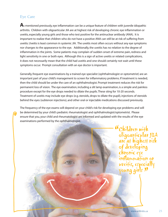## Eye Care

**A**s mentioned previously, eye inflammation can be a unique feature of children with juvenile idiopathic arthritis. Children with oligoarticular JIA are at highest risk of developing chronic eye inflammation or uveitis, especially young girls and those who test positive for the antinuclear antibody (ANA). It is important to realize that children who do not have a positive ANA can still be at risk of suffering from uveitis. Uveitis is least common in systemic JIA. The uveitis most often occurs without any eye symptoms nor changes to the appearance to the eye. Additionally, the uveitis has no relation to the degree of inflammation in the joints. Some patients may complain of sudden onset of extreme pain, redness and light sensitivity in one or both eyes. Although this is a sign of active uveitis or related complications, it does not necessarily mean that the child had uveitis and one should certainly not wait until these symptoms occur. Prompt consultation with an eye doctor is important.

Generally, frequent eye examinations by a trained eye specialist (ophthalmologist or optometrist) are an important part of your child's management to screen for inflammatory problems. If treatment is needed, then the child should be under the care of an ophthalmologist. Prompt treatment reduces the risk for permanent loss of vision. The eye examination, including a slit lamp examination, is a simple and painless procedure except for the eye drops needed to dilate the pupils.These sting for 10-20 seconds. Treatment of uveitis may include eye drops (e.g. steroids, drops to dilate the pupil), injections of steroids behind the eyes (subtenon injections), and other oral or injectable medications discussed previously.

The frequency of the eye exams will depend on your child's risk for developing eye problems and will be determined by your child's pediatric rheumatologist and ophthalmologist/optometrist. Please ensure that you, your child and rheumatologist are informed and updated with the results of the eye examinations performed by the ophthalmologist.

> **"Children** with<br>
> oliagarticular oligoarticular JIA are at highest risk of developing chronic eye flammation or uveitis, especially young girls "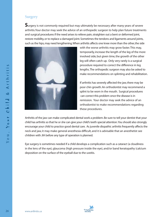## **Surgery**

**S**urgery is not commonly required but may ultimately be necessary after many years of severe arthritis.Your doctor may seek the advice of an orthopedic surgeon to help plan future treatments and surgical procedures if the need arises to relieve pain, straighten out a bent or deformed joint, restore mobility, or to replace a damaged joint. Sometimes the tendons and ligaments around joints, such as the hips, may need lengthening.When arthritis affects one knee more than the other, the side



with the worse arthritis may grow faster. This may, temporarily, increase the length of the leg of the more involved side, but given time, the growth of the other leg will often catch up. Only very rarely is a surgical procedure required to correct the difference in leg lengths.The orthopedic surgeon may also be asked to make recommendations on splinting and rehabilitation.

If arthritis has severely affected the jaw, there may be poor chin growth. An orthodontist may recommend a splint to be worn in the mouth. Surgical procedures can correct this problem once the disease is in remission. Your doctor may seek the advice of an orthodontist to make recommendations regarding these procedures.

Arthritis of the jaw can make complicated dental work a problem. Be sure to tell your dentist that your child has arthritis so that he or she can give your child's teeth special attention.You should also strongly encourage your child to practice good dental care. As juvenile diopathic arthritis frequently affects the neck and jaw, it may make general anesthesia difficult, and it is advisable that an anesthetist see children with JIA before any type of operation is planned.

Eye surgery is sometimes needed if a child develops a complication such as a cataract (a cloudiness in the lens of the eye), glaucoma (high pressure inside the eye), and/or band keratopathy (calcium deposition on the surface of the eyeball due to the uveitis.

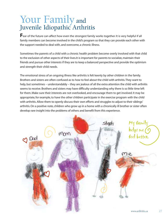## Your Family and Juvenile Idiopathic Arthritis

**F**ear of the future can affect how even the strongest family works together. It is very helpful if all family members can become involved in the child's program so that they can provide each other with the support needed to deal with, and overcome, a chronic illness.

Sometimes the parents of a child with a chronic health problem become overly involved with that child to the exclusion of other aspects of their lives.It is important for parents to socialize, maintain their friends and pursue other interests if they are to keep a balanced perspective and provide the optimism and strength their child needs.

The emotional stress of an ongoing illness like arthritis is felt keenly by other children in the family. Brothers and sisters are often confused as to how to feel about the child with arthritis.They want to help, but sometimes – understandably – they are jealous of all the extra attention the child with arthritis seems to receive. Brothers and sisters may have difficulty understanding why there is so little time left for them. Make sure their interests are not overlooked, and encourage them to get involved. It may be appropriate, for example, to have the other children participate in the exercise program with the child with arthritis. Allow them to openly discuss their own efforts and struggles to adjust to their siblings' arthritis. On a positive note, children who grow up in a home with a chronically ill brother or sister often develop rare insight into the problems of others and benefit from this experience.

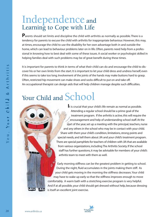## Independence and Learning to Cope with Life

Parents should set limits and discipline the child with arthritis as normally as possible. There is a tendency for parents to excuse the child with arthritis for inappropriate behaviour. However, this may, at times, encourage the child to use the disability for her own advantage both in and outside the home, which can lead to behaviour problems later on in life. Often, parents need help from a professional in knowing how to best deal with some of these issues. A social worker or psychologist skilled in helping families deal with such problems may be of great benefit during these times.

It is important for parents to think in terms of what their child can do and encourage the child to discover his or her own limits from the start. It is important to let your child dress and undress herself, even if this seems to take too long. Involvement of the joints of the hands may make buttons hard to grasp. Often, restricted hip movement can make shoes and socks difficult to put on and take off. An occupational therapist can design aids that will help children manage despite such difficulties.

# Your Child and School

**I**t is crucial that your child's life remain as normal as possible. Attending a regular school should be a prime goal of the treatment program. If the arthritis is active, this will require the encouragement and help of understanding school staff. At the start of the year, set up a meeting with the principal, teachers, nurse and any others in the school who may be in contact with your child. Share with them your child's condition, limitations, strong points and special needs, and tell them about JIA and your child's treatment program. There are special pamphlets for teachers of children with JIA that are available from various organizations, including The Arthritis Society. If the school staff has further questions, it may be advisable for members of your child's arthritis team to meet with them as well.

Early morning stiffness can be the greatest problem in getting to school. During the night, fluid accumulates in the joints making them stiff. As your child gets moving in the morning the stiffness decreases.Your child may have to wake up early so that the stiffness improves enough to move comfortably. A warm bath with a stretching exercise program is very helpful. And if at all possible, your child should get dressed without help, because dressing is itself an excellent joint exercise.

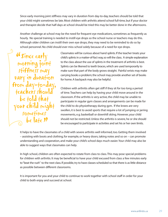Since early morning joint stiffness may vary in duration from day-to-day, teachers should be told that your child might sometimes be late. Most children with arthritis attend school full-time, but if your doctor and therapist decide that half-days at school should be tried this may be better done in the afternoons.

Another challenge at school may be the need for frequent eye medications, sometimes as frequently as hourly. No special training is needed to instill eye drops so the school nurse or teachers may do this. Although older children can instill their own eye drops, they may need to be reminded to do so by school personnel. No child should ever miss school solely because of a need for eye drops.

<sup>"</sup>Since early<br>mothing join morning joint stiffness may vary in du from  $day-to$ teachers shou be told that  $\gamma$ our child mig sometimes be late "

Classmates will be curious about hand splints. If the teacher treats your child's splints in a matter-of-fact way,so will the class. A simple explanation to the class about the use of splints in the treatment of arthritis is best. Splints can be likened to teeth braces, which are used temporarily to make sure that part of the body grows straight. Painful wrists may make carrying books a problem; the school may provide another set of books for home. A backpack may also be helpful.

Children with arthritis often get stiff if they sit for too long a period of time.Teachers can help by having your child move around in the classroom. If the arthritis is very active, the child may be unable to participate in regular gym classes and arrangements can be made for the child to do physiotherapy during gym. If the knees are very swollen, it is best to avoid sports that require a lot of jumping or jarring movements, e.g. basketball or downhill skiing. However, your child should not be restricted. Unless the arthritis is severe, he or she should be encouraged to participate in activities and set his or her own limits.

It helps to have the classmates of a child with severe arthritis well informed, too. Getting them involved – assisting with boots and clothing, for example, or heavy doors, taking notes and so on – can promote understanding and cooperation, and make your child's school days much easier.Your child may also be able to suggest ways that classmates can help.

In high school, children are often expected to rotate from class to class.This may pose special problems for children with arthritis. It may be beneficial to have your child excused from class a few minutes early to"beat the rush" to the next class. If possible, try to have classes scheduled so that there is as little distance as possible between different classrooms.

It is important for you and your child to continue to work together with school staff in order for your child to both enjoy and succeed at school.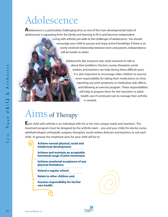# Adolescence

**A**dolescence is a particularly challenging time, as one of the main developmental tasks of adolescence is separating from the family and learning to fit in and become independent.

> Living with arthritis just adds to the challenges of adolescence. You should encourage your child to pursue and enjoy active friendships. If there is an overly involved relationship between teen and parents, independence will be harder to attain.

> > Adolescents, like everyone else, need someone to talk to about their problems. Doctors, nurses, therapists, social workers and teachers can help during these difficult years. It is also important to encourage older children to assume more responsibility for taking their medications on time, reporting any joint symptoms or medication side effects, and following an exercise program. These responsibilities will help to prepare them for the transition to adult health care if continued care to manage their arthritis is needed.

# Aims of Therapy

**E**ach child with arthritis is an individual with his or her own unique needs and reactions. The treatment program must be designed by the arthritis team – you and your child, the doctor, nurse, ophthalmologist, orthopedic surgeon, therapists, social worker, dietician and teachers, to suit each child. In general, the treatment aims for your child will be to:

| Achieve normal physical, social and<br>intellectual development;                 |
|----------------------------------------------------------------------------------|
| <b>Achieve and maintain an acceptable</b><br>functional range of joint movement; |
| <b>Achieve emotional acceptance of any</b><br>physical limitations;              |
| <b>Attend a regular school;</b>                                                  |
| <b>Relate to other children and,</b>                                             |
| <b>Assume responsibility for his/her</b><br>own health.                          |
|                                                                                  |



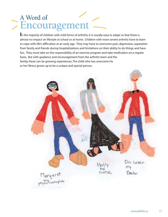# A Word of >Encouragement

**I**n the majority of children with mild forms of arthritis, it is usually easy to adapt so that there is almost no impact on lifestyle at school or at home. Children with more severe arthritis have to learn to cope with life's difficulties at an early age. They may have to overcome pain, depression, separation from family and friends during hospitalizations and limitations on their ability to do things and have fun. They must take on the responsibility of an exercise program and take medication on a regular basis. But with guidance and encouragement from the arthritis team and the family, these can be growing experiences. The child who has overcome his or her illness grows up to be a unique and special person.

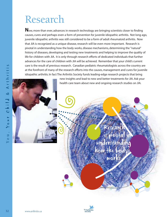# Research

**N**ow, more than ever, advances in research technology are bringing scientists closer to finding causes, cures and perhaps even a form of prevention for juvenile idiopathic arthritis. Not long ago, juvenile idiopathic arthritis was still considered to be a form of adult rheumatoid arthritis. Now that JIA is recognized as a unique disease, research will be even more important. Research is pivotal in understanding how the body works, disease mechanisms, determining the "natural" history of diseases, developing and testing new treatments and helping to improve the quality of life for children with JIA. It is only through research efforts of dedicated individuals that further advances for the care of children with JIA will be achieved. Remember that your child's current care is the result of previous research. Canadian pediatric rheumatologists across the country are at the forefront of many of the research efforts into the causes, management and cures for juvenile idiopathic arthritis. In fact The Arthritis Society funds leading-edge research projects that bring



new insights and lead to new and better treatments for JIA. Ask your health care team about new and ongoing research studies on JIA.

> Research is pivotal understanding how the body works

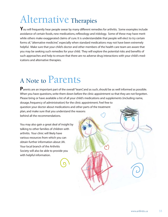# Alternative Therapies

You will frequently hear people swear by many different remedies for arthritis. Some examples include avoidance of certain foods, new medications, reflexology and iridology. Some of these may have merit while others make exaggerated claims of cure. It is understandable that people will elect to try certain forms of, "alternative medicine", especially when standard medications may not have been extremely helpful. Make sure that your child's doctor and other members of the health care team are aware that you may be seeking such remedies for your child. They will explore the potential risks and benefits of such approaches and help to ensure that there are no adverse drug interactions with your child's medications and alternative therapies.

# A Note to Parents

Parents are an important part of the overall "team", and as such, should be as well informed as possible. When you have questions, write them down before the clinic appointment so that they are not forgotten. Please bring or have available a list of all your child's medications and supplements (including name, dosage, frequency of administration) for the clinic appointment. Feel free to question your doctor about medications and other parts of the treatment plan, and make sure that you understand the reasons behind all the recommendations.

You may also gain a great deal of insight by talking to other families of children with arthritis. Your clinic will likely have various resources from which you can obtain further information about JIA. Your local branch of the Arthritis Society will also be able to provide you with helpful information.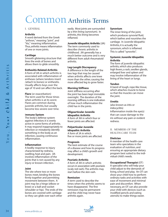# Common Arthritis Terms

#### I. GENERAL

#### **Arthritis**

A word derived from the Greek "arthron," meaning "joint", and "itis," meaning inflammation. Thus, arthritis means inflammation of one or more joints.

#### **Cartilage**

Smooth glistening structure that lines the ends of bones and allows them to glide smoothly.

#### **Enthesitis-Related-Arthritis**

A form of JIA in which arthritis is associated with inflammation of entheses (where tendons insert /attach to bones) or enthesitis. Usually affects boys over the age of 10 and can affect the back.

**Flare** (or exacerbation) The term used for those times when arthritis is at its worst. Flares are common during juvenile arthritis, but usually become less severe over time.

#### I**mmune System**

The body's defense system against infection; it is overly active in some forms of arthritis. It may respond inappropriately to infection or mistakenly identify something in the body as an infection, causing continuous inflammation.

#### **Inflammation**

A bodily response to injury characterized by redness, swelling, heat and pain. JIA involves inflammation of the joints that is not caused by any injury or known infection.

#### **Joint**

The site where two or more bones meet, binding the bones firmly together and permitting movement between them. A joint may be a hinge (elbow or knee) or a ball-and-socket (shoulder or hip). The ends of the bones are covered with cartilage so they can glide over each other

easily. Most joints are surrounded by a thin lining (synovium). In arthritis, this lining becomes inflamed.

#### **Juvenile Idiopathic Arthritis** (JIA)

The term commonly used to describe chronic arthritis in childhood. JIA generally has a much better outcome and is very different from adult rheumatoid arthritis.

#### **Leg-Length Discrepancy**

A difference in the length of the two legs that may be caused when arthritis affects one knee more than the other, causing the more affected leg to grow faster.

#### **Morning Stiffness**

Joint stiffness occurring after the joint has been kept immobile overnight. The duration of the morning stiffness is one indication of how much inflammation the child has in the joints.

#### **Oligoarticular Juvenile Idiopathic Arthritis**

A form of JIA in which four or fewer joints are affected.

#### **Polyarticular Juvenile Idiopathic Arthritis** A form of JA in which five or more joints are affected.

#### **Prognosis**

The best estimate of the course of a disease and how its progress may affect a child's growth and development.

#### **Psoriatic Arthritis**

A form of JIA in which arthritis occurs in association with psoriasis (scaly red rash).The arthritis may start before the skin rash.

#### **Remission**

A term used to describe the times when the arthritis seems to have disappeared. The first remission may be permanent and the child may never have arthritis again.

#### **Synovium**

The inner lining of the joint, which produces synovial fluid, which bathes and nourishes the cartilage. In Juvenile Idiopathic Arthritis, it is actually the synovium, which is inflamed. This is called "synovitis".

#### **Systemic Juvenile Idiopathic Arthritis**

The form of juvenile idiopathic arthritis, which also produces high fevers, a rash, swollen glands, enlarged liver and spleen and may involve inflammation of the lining of the heart or lungs.

#### **Tendon**

A band of tough, rope-like tissue, which attaches muscle to bone so that the muscles can move the joint.

#### **Uveitis**

(also known as iritis or iridocyclitis) Inflammation inside the eye(s) that can cause damage to the iris without any pain or evident redness.

II. MEMBERS OF THE HEALTH-CARE TEAM

#### **Dietician**

A member of the health-care team who specializes in the evaluation of nutrition, and ensuring an appropriate dietary program best suited to the individual child's needs.

#### **Occupational Therapist** (OT)

A specialist who will help your child adjust to the demands of living, school and play. An OT can show your child how to perform ordinary tasks and activities with ease of movement and minimal pain and discomfort. When necessary, an OT can also provide your child with devices (such as modified pencils and eating utensils) to make things easier.



 $\mathsf{v}$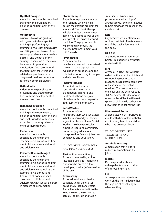#### **Ophthalmologist**

A medical doctor with specialized training in the examination, diagnosis and treatment of eye diseases.

#### **Optometrist**

A university/college graduate who goes on to have special training in performing eye examinations, prescribing glasses and fitting contact lenses. They are not physicians (i.e. not medical doctors) and do not perform surgery. In some areas they may be allowed to prescribe medications. [We recommend that treatment for uveitis and related eye problems, once diagnosed, be done under the care of an ophthalmologist]

#### **Orthodontist**

A dentist who specializes in preventing and treating problems with the development of the teeth and jaw.

#### **Orthopedic surgeon**

A medical doctor with specialized training in the examination, diagnosis and treatment of bone and joint disorders, with special expertise in the surgical treatment of these disorders.

#### **Pediatrician**

A medical doctor with specialized training in the examination, diagnosis and treatment of disorders of childhood and adolescence.

#### **Pediatric Rheumatologist**

A medical doctor with specialized training in the examination, diagnosis and treatment of disorders of childhood and adolescence, as well as the examination, diagnosis and treatment of bone and joint disorders in childhood and adolescence, with special expertise in diseases of inflammation.

#### **Physiotherapist**

A specialist in physical therapy and splinting who will help design the exercise program for your child. The physiotherapist will also monitor the movement in individual joints as well as the strength of the muscles around the joints. The physiotherapist will continually modify the exercise program to meet your child's needs.

#### **Psychologist**

A member of the health care team with specialized training in the diagnosis and evaluation of emotions, and the role that emotions play in people with chronic illness.

#### **Rheumatologist**

A medical doctor with specialized training in the examination, diagnosis and treatment of bone and joint disorders, with special expertise in diseases of inflammation.

#### **Social Worker**

A member of the health care team who specializes in helping you and your family adjust to a chronic illness. Social Workers also have particular expertise regarding community resources (e.g. educational, transportation, financial) that can benefit you and your family.

III. COMMON LABORATORY AND DIAGNOSTIC TESTS

**ANA** (antinuclear antibody) A protein detected by a blood test that is useful for identifying children who are at a risk of developing uveitis (inflammation of the eye)

#### **Arthroscopy**

A procedure done while the patient is under general (or occasionally local) anesthetic. A small tube is inserted into the joint, allowing the surgeon to actually look inside and take a

small snip of synovium (a procedure called a "biopsy"). Arthroscopy is sometimes needed to help diagnose the cause of the child's arthritis.

#### **ESR**

(erythrocyte sedimentation rate) A blood test that often is a measure of the total inflammation in the body.

#### **HLA B27**

A genetic marker that may be helpful in diagnosing enthesitisrelated-arthritis.

#### **MRI**

A type of "X-Ray" (but without radiation) that examines joints and surrounding structures using magnetic fields. Excellent pictures of the inside of the joint are obtained. The test takes about one hour, and the child has to lie still. Sometimes, the doctors and nurses in the MRI unit will have to give your child a mild sedative to allow them to lie still for the test.

#### **Rheumatoid Factor**

A blood test which is positive in adults with rheumatoid arthritis and in a very few older children who have polyarticular JIA.

IV. COMMONLY USED TREATMENTS AND MEDICATIONS

#### **Anti-Inflammatory**

A medication that helps to reduce inflammation in the joints.

#### **Insoles**

Devises placed in shoes to keep the foot in a position of improved function.

#### **Lift**

A raise put in or on the shoe worn on the shorter leg so that the legs are of equal length when walking.